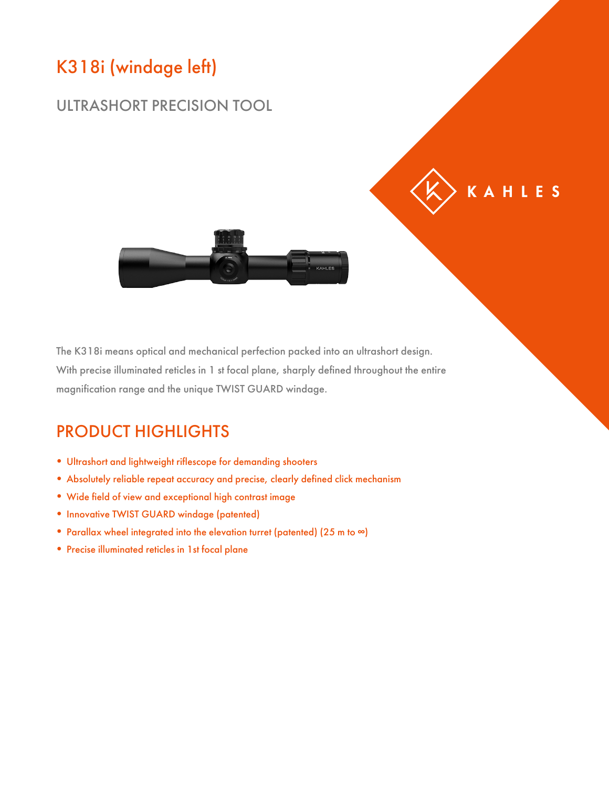# K318i (windage left)

#### ULTRASHORT PRECISION TOOL



KAHLES

The K318i means optical and mechanical perfection packed into an ultrashort design. With precise illuminated reticles in 1 st focal plane, sharply defined throughout the entire magnification range and the unique TWIST GUARD windage.

### PRODUCT HIGHLIGHTS

- Ultrashort and lightweight riflescope for demanding shooters
- Absolutely reliable repeat accuracy and precise, clearly defined click mechanism
- Wide field of view and exceptional high contrast image
- Innovative TWIST GUARD windage (patented)
- Parallax wheel integrated into the elevation turret (patented) (25 m to ∞)
- Precise illuminated reticles in 1st focal plane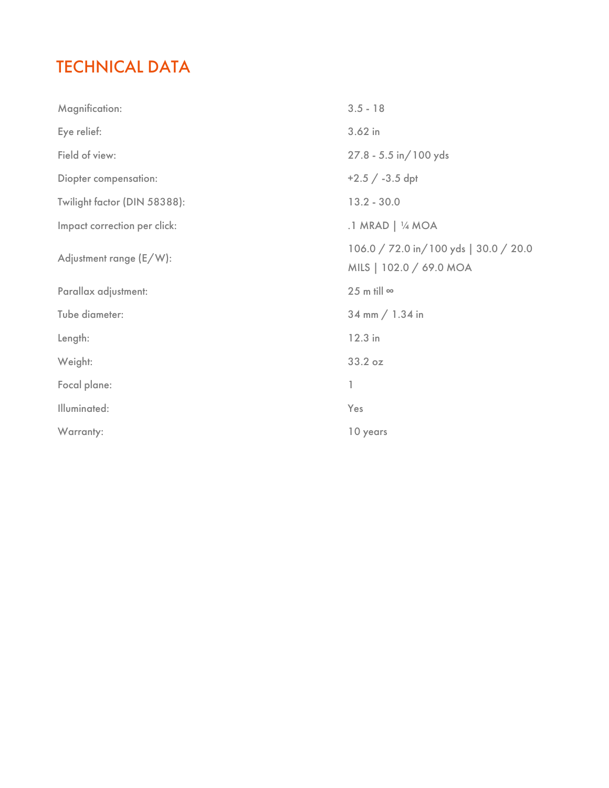## TECHNICAL DATA

| Magnification:               | $3.5 - 18$                                                       |
|------------------------------|------------------------------------------------------------------|
| Eye relief:                  | $3.62$ in                                                        |
| Field of view:               | 27.8 - 5.5 in/100 yds                                            |
| Diopter compensation:        | $+2.5 / -3.5$ dpt                                                |
| Twilight factor (DIN 58388): | $13.2 - 30.0$                                                    |
| Impact correction per click: | .1 MRAD   1/4 MOA                                                |
| Adjustment range (E/W):      | 106.0 / 72.0 in/100 yds   30.0 / 20.0<br>MILS   102.0 / 69.0 MOA |
| Parallax adjustment:         | 25 m till $\infty$                                               |
| Tube diameter:               | 34 mm $/ 1.34$ in                                                |
| Length:                      | 12.3 in                                                          |
| Weight:                      | 33.2 oz                                                          |
| Focal plane:                 | 1                                                                |
| Illuminated:                 | Yes                                                              |
| Warranty:                    | 10 years                                                         |